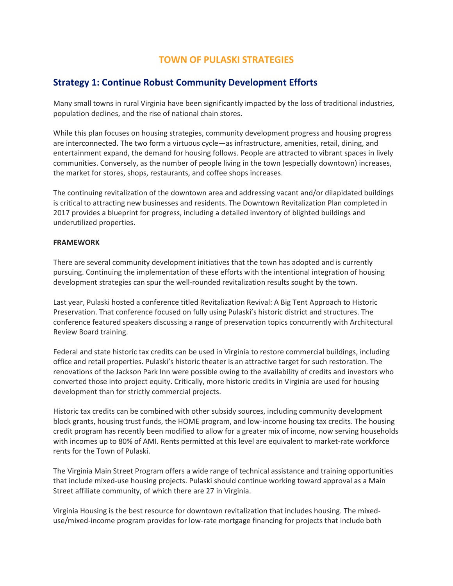# **TOWN OF PULASKI STRATEGIES**

# **Strategy 1: Continue Robust Community Development Efforts**

Many small towns in rural Virginia have been significantly impacted by the loss of traditional industries, population declines, and the rise of national chain stores.

While this plan focuses on housing strategies, community development progress and housing progress are interconnected. The two form a virtuous cycle—as infrastructure, amenities, retail, dining, and entertainment expand, the demand for housing follows. People are attracted to vibrant spaces in lively communities. Conversely, as the number of people living in the town (especially downtown) increases, the market for stores, shops, restaurants, and coffee shops increases.

The continuing revitalization of the downtown area and addressing vacant and/or dilapidated buildings is critical to attracting new businesses and residents. The Downtown Revitalization Plan completed in 2017 provides a blueprint for progress, including a detailed inventory of blighted buildings and underutilized properties.

## **FRAMEWORK**

There are several community development initiatives that the town has adopted and is currently pursuing. Continuing the implementation of these efforts with the intentional integration of housing development strategies can spur the well-rounded revitalization results sought by the town.

Last year, Pulaski hosted a conference titled Revitalization Revival: A Big Tent Approach to Historic Preservation. That conference focused on fully using Pulaski's historic district and structures. The conference featured speakers discussing a range of preservation topics concurrently with Architectural Review Board training.

Federal and state historic tax credits can be used in Virginia to restore commercial buildings, including office and retail properties. Pulaski's historic theater is an attractive target for such restoration. The renovations of the Jackson Park Inn were possible owing to the availability of credits and investors who converted those into project equity. Critically, more historic credits in Virginia are used for housing development than for strictly commercial projects.

Historic tax credits can be combined with other subsidy sources, including community development block grants, housing trust funds, the HOME program, and low-income housing tax credits. The housing credit program has recently been modified to allow for a greater mix of income, now serving households with incomes up to 80% of AMI. Rents permitted at this level are equivalent to market-rate workforce rents for the Town of Pulaski.

The Virginia Main Street Program offers a wide range of technical assistance and training opportunities that include mixed-use housing projects. Pulaski should continue working toward approval as a Main Street affiliate community, of which there are 27 in Virginia.

Virginia Housing is the best resource for downtown revitalization that includes housing. The mixeduse/mixed-income program provides for low-rate mortgage financing for projects that include both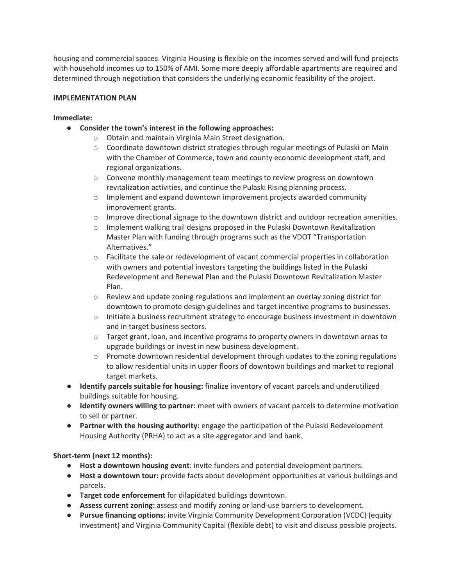housing and commercial spaces. Virginia Housing is flexible on the incomes served and will fund projects with household incomes up to 150% of AMI. Some more deeply affordable apartments are required and determined through negotiation that considers the underlying economic feasibility of the project.

# **IMPLEMENTATION PLAN**

## **Immediate:**

- **Consider the town's interest in the following approaches:**
	- o Obtain and maintain Virginia Main Street designation.
	- $\circ$  Coordinate downtown district strategies through regular meetings of Pulaski on Main with the Chamber of Commerce, town and county economic development staff, and regional organizations.
	- $\circ$  Convene monthly management team meetings to review progress on downtown revitalization activities, and continue the Pulaski Rising planning process.
	- $\circ$  Implement and expand downtown improvement projects awarded community improvement grants.
	- o Improve directional signage to the downtown district and outdoor recreation amenities.
	- o Implement walking trail designs proposed in the Pulaski Downtown Revitalization Master Plan with funding through programs such as the VDOT "Transportation Alternatives."
	- o Facilitate the sale or redevelopment of vacant commercial properties in collaboration with owners and potential investors targeting the buildings listed in the Pulaski Redevelopment and Renewal Plan and the Pulaski Downtown Revitalization Master Plan.
	- $\circ$  Review and update zoning regulations and implement an overlay zoning district for downtown to promote design guidelines and target incentive programs to businesses.
	- o Initiate a business recruitment strategy to encourage business investment in downtown and in target business sectors.
	- $\circ$  Target grant, loan, and incentive programs to property owners in downtown areas to upgrade buildings or invest in new business development.
	- $\circ$  Promote downtown residential development through updates to the zoning regulations to allow residential units in upper floors of downtown buildings and market to regional target markets.
- **Identify parcels suitable for housing:** finalize inventory of vacant parcels and underutilized buildings suitable for housing.
- **Identify owners willing to partner:** meet with owners of vacant parcels to determine motivation to sell or partner.
- **Partner with the housing authority:** engage the participation of the Pulaski Redevelopment Housing Authority (PRHA) to act as a site aggregator and land bank.

# **Short-term (next 12 months):**

- **Host a downtown housing event**: invite funders and potential development partners.
- **Host a downtown tour:** provide facts about development opportunities at various buildings and parcels.
- **Target code enforcement** for dilapidated buildings downtown.
- **Assess current zoning:** assess and modify zoning or land-use barriers to development.
- **Pursue financing options:** invite Virginia Community Development Corporation (VCDC) (equity investment) and Virginia Community Capital (flexible debt) to visit and discuss possible projects.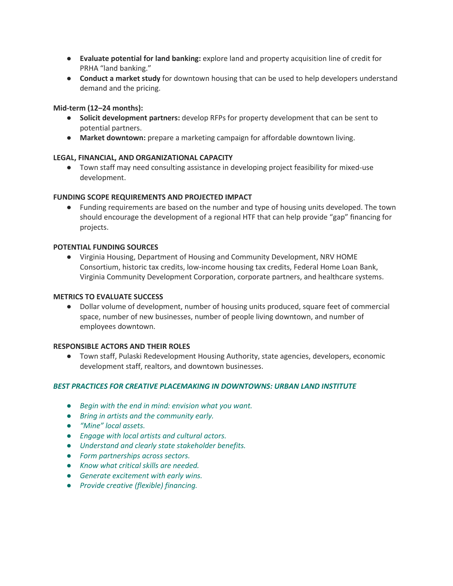- **Evaluate potential for land banking:** explore land and property acquisition line of credit for PRHA "land banking."
- **Conduct a market study** for downtown housing that can be used to help developers understand demand and the pricing.

# **Mid-term (12–24 months):**

- **Solicit development partners:** develop RFPs for property development that can be sent to potential partners.
- **Market downtown:** prepare a marketing campaign for affordable downtown living.

# **LEGAL, FINANCIAL, AND ORGANIZATIONAL CAPACITY**

● Town staff may need consulting assistance in developing project feasibility for mixed-use development.

# **FUNDING SCOPE REQUIREMENTS AND PROJECTED IMPACT**

● Funding requirements are based on the number and type of housing units developed. The town should encourage the development of a regional HTF that can help provide "gap" financing for projects.

## **POTENTIAL FUNDING SOURCES**

● Virginia Housing, Department of Housing and Community Development, NRV HOME Consortium, historic tax credits, low-income housing tax credits, Federal Home Loan Bank, Virginia Community Development Corporation, corporate partners, and healthcare systems.

## **METRICS TO EVALUATE SUCCESS**

● Dollar volume of development, number of housing units produced, square feet of commercial space, number of new businesses, number of people living downtown, and number of employees downtown.

## **RESPONSIBLE ACTORS AND THEIR ROLES**

● Town staff, Pulaski Redevelopment Housing Authority, state agencies, developers, economic development staff, realtors, and downtown businesses.

## *BEST PRACTICES FOR CREATIVE PLACEMAKING IN DOWNTOWNS: URBAN LAND INSTITUTE*

- *Begin with the end in mind: envision what you want.*
- *Bring in artists and the community early.*
- *"Mine" local assets.*
- *Engage with local artists and cultural actors.*
- *Understand and clearly state stakeholder benefits.*
- *Form partnerships across sectors.*
- *Know what critical skills are needed.*
- *Generate excitement with early wins.*
- *Provide creative (flexible) financing.*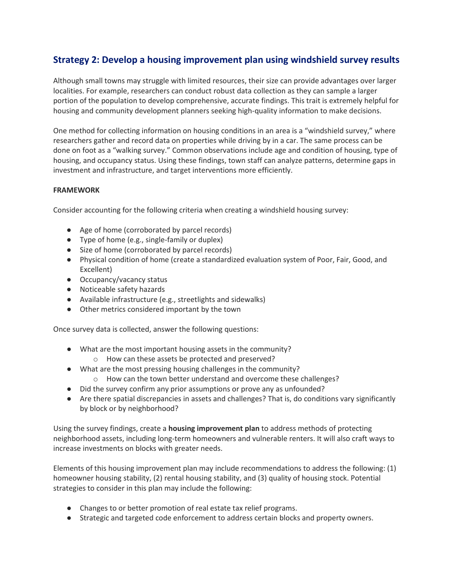# **Strategy 2: Develop a housing improvement plan using windshield survey results**

Although small towns may struggle with limited resources, their size can provide advantages over larger localities. For example, researchers can conduct robust data collection as they can sample a larger portion of the population to develop comprehensive, accurate findings. This trait is extremely helpful for housing and community development planners seeking high-quality information to make decisions.

One method for collecting information on housing conditions in an area is a "windshield survey," where researchers gather and record data on properties while driving by in a car. The same process can be done on foot as a "walking survey." Common observations include age and condition of housing, type of housing, and occupancy status. Using these findings, town staff can analyze patterns, determine gaps in investment and infrastructure, and target interventions more efficiently.

## **FRAMEWORK**

Consider accounting for the following criteria when creating a windshield housing survey:

- Age of home (corroborated by parcel records)
- Type of home (e.g., single-family or duplex)
- Size of home (corroborated by parcel records)
- Physical condition of home (create a standardized evaluation system of Poor, Fair, Good, and Excellent)
- Occupancy/vacancy status
- Noticeable safety hazards
- Available infrastructure (e.g., streetlights and sidewalks)
- Other metrics considered important by the town

Once survey data is collected, answer the following questions:

- What are the most important housing assets in the community?
	- o How can these assets be protected and preserved?
- What are the most pressing housing challenges in the community?
	- o How can the town better understand and overcome these challenges?
- Did the survey confirm any prior assumptions or prove any as unfounded?
- Are there spatial discrepancies in assets and challenges? That is, do conditions vary significantly by block or by neighborhood?

Using the survey findings, create a **housing improvement plan** to address methods of protecting neighborhood assets, including long-term homeowners and vulnerable renters. It will also craft ways to increase investments on blocks with greater needs.

Elements of this housing improvement plan may include recommendations to address the following: (1) homeowner housing stability, (2) rental housing stability, and (3) quality of housing stock. Potential strategies to consider in this plan may include the following:

- Changes to or better promotion of real estate tax relief programs.
- Strategic and targeted code enforcement to address certain blocks and property owners.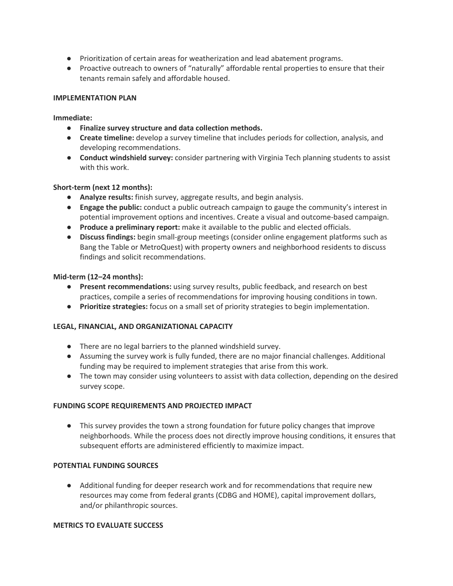- Prioritization of certain areas for weatherization and lead abatement programs.
- Proactive outreach to owners of "naturally" affordable rental properties to ensure that their tenants remain safely and affordable housed.

## **IMPLEMENTATION PLAN**

### **Immediate:**

- **Finalize survey structure and data collection methods.**
- **Create timeline:** develop a survey timeline that includes periods for collection, analysis, and developing recommendations.
- **Conduct windshield survey:** consider partnering with Virginia Tech planning students to assist with this work.

## **Short-term (next 12 months):**

- **Analyze results:** finish survey, aggregate results, and begin analysis.
- **Engage the public:** conduct a public outreach campaign to gauge the community's interest in potential improvement options and incentives. Create a visual and outcome-based campaign.
- **Produce a preliminary report:** make it available to the public and elected officials.
- **Discuss findings:** begin small-group meetings (consider online engagement platforms such as Bang the Table or MetroQuest) with property owners and neighborhood residents to discuss findings and solicit recommendations.

### **Mid-term (12–24 months):**

- **Present recommendations:** using survey results, public feedback, and research on best practices, compile a series of recommendations for improving housing conditions in town.
- **Prioritize strategies:** focus on a small set of priority strategies to begin implementation.

## **LEGAL, FINANCIAL, AND ORGANIZATIONAL CAPACITY**

- There are no legal barriers to the planned windshield survey.
- Assuming the survey work is fully funded, there are no major financial challenges. Additional funding may be required to implement strategies that arise from this work.
- The town may consider using volunteers to assist with data collection, depending on the desired survey scope.

#### **FUNDING SCOPE REQUIREMENTS AND PROJECTED IMPACT**

● This survey provides the town a strong foundation for future policy changes that improve neighborhoods. While the process does not directly improve housing conditions, it ensures that subsequent efforts are administered efficiently to maximize impact.

#### **POTENTIAL FUNDING SOURCES**

● Additional funding for deeper research work and for recommendations that require new resources may come from federal grants (CDBG and HOME), capital improvement dollars, and/or philanthropic sources.

## **METRICS TO EVALUATE SUCCESS**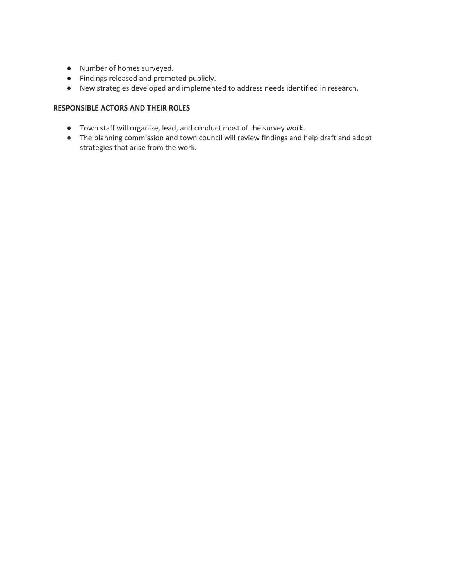- Number of homes surveyed.
- Findings released and promoted publicly.
- New strategies developed and implemented to address needs identified in research.

## **RESPONSIBLE ACTORS AND THEIR ROLES**

- Town staff will organize, lead, and conduct most of the survey work.
- The planning commission and town council will review findings and help draft and adopt strategies that arise from the work.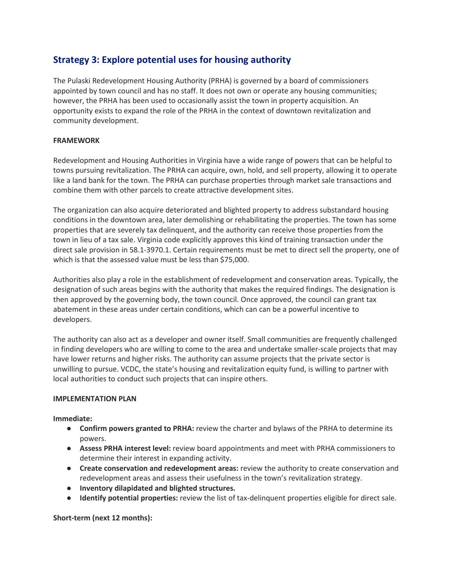# **Strategy 3: Explore potential uses for housing authority**

The Pulaski Redevelopment Housing Authority (PRHA) is governed by a board of commissioners appointed by town council and has no staff. It does not own or operate any housing communities; however, the PRHA has been used to occasionally assist the town in property acquisition. An opportunity exists to expand the role of the PRHA in the context of downtown revitalization and community development.

# **FRAMEWORK**

Redevelopment and Housing Authorities in Virginia have a wide range of powers that can be helpful to towns pursuing revitalization. The PRHA can acquire, own, hold, and sell property, allowing it to operate like a land bank for the town. The PRHA can purchase properties through market sale transactions and combine them with other parcels to create attractive development sites.

The organization can also acquire deteriorated and blighted property to address substandard housing conditions in the downtown area, later demolishing or rehabilitating the properties. The town has some properties that are severely tax delinquent, and the authority can receive those properties from the town in lieu of a tax sale. Virginia code explicitly approves this kind of training transaction under the direct sale provision in 58.1-3970.1. Certain requirements must be met to direct sell the property, one of which is that the assessed value must be less than \$75,000.

Authorities also play a role in the establishment of redevelopment and conservation areas. Typically, the designation of such areas begins with the authority that makes the required findings. The designation is then approved by the governing body, the town council. Once approved, the council can grant tax abatement in these areas under certain conditions, which can can be a powerful incentive to developers.

The authority can also act as a developer and owner itself. Small communities are frequently challenged in finding developers who are willing to come to the area and undertake smaller-scale projects that may have lower returns and higher risks. The authority can assume projects that the private sector is unwilling to pursue. VCDC, the state's housing and revitalization equity fund, is willing to partner with local authorities to conduct such projects that can inspire others.

## **IMPLEMENTATION PLAN**

**Immediate:**

- **Confirm powers granted to PRHA:** review the charter and bylaws of the PRHA to determine its powers.
- **Assess PRHA interest level:** review board appointments and meet with PRHA commissioners to determine their interest in expanding activity.
- **Create conservation and redevelopment areas:** review the authority to create conservation and redevelopment areas and assess their usefulness in the town's revitalization strategy.
- **Inventory dilapidated and blighted structures.**
- **Identify potential properties:** review the list of tax-delinquent properties eligible for direct sale.

**Short-term (next 12 months):**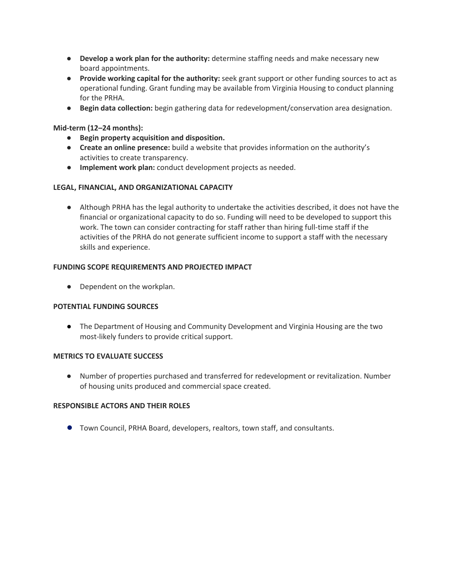- **Develop a work plan for the authority:** determine staffing needs and make necessary new board appointments.
- **Provide working capital for the authority:** seek grant support or other funding sources to act as operational funding. Grant funding may be available from Virginia Housing to conduct planning for the PRHA.
- **Begin data collection:** begin gathering data for redevelopment/conservation area designation.

## **Mid-term (12–24 months):**

- **Begin property acquisition and disposition.**
- **Create an online presence:** build a website that provides information on the authority's activities to create transparency.
- **Implement work plan:** conduct development projects as needed.

### **LEGAL, FINANCIAL, AND ORGANIZATIONAL CAPACITY**

● Although PRHA has the legal authority to undertake the activities described, it does not have the financial or organizational capacity to do so. Funding will need to be developed to support this work. The town can consider contracting for staff rather than hiring full-time staff if the activities of the PRHA do not generate sufficient income to support a staff with the necessary skills and experience.

### **FUNDING SCOPE REQUIREMENTS AND PROJECTED IMPACT**

● Dependent on the workplan.

#### **POTENTIAL FUNDING SOURCES**

● The Department of Housing and Community Development and Virginia Housing are the two most-likely funders to provide critical support.

#### **METRICS TO EVALUATE SUCCESS**

● Number of properties purchased and transferred for redevelopment or revitalization. Number of housing units produced and commercial space created.

#### **RESPONSIBLE ACTORS AND THEIR ROLES**

● Town Council, PRHA Board, developers, realtors, town staff, and consultants.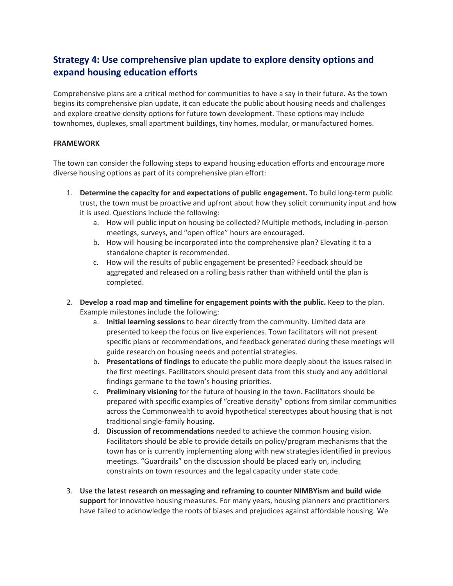# **Strategy 4: Use comprehensive plan update to explore density options and expand housing education efforts**

Comprehensive plans are a critical method for communities to have a say in their future. As the town begins its comprehensive plan update, it can educate the public about housing needs and challenges and explore creative density options for future town development. These options may include townhomes, duplexes, small apartment buildings, tiny homes, modular, or manufactured homes.

## **FRAMEWORK**

The town can consider the following steps to expand housing education efforts and encourage more diverse housing options as part of its comprehensive plan effort:

- 1. **Determine the capacity for and expectations of public engagement.** To build long-term public trust, the town must be proactive and upfront about how they solicit community input and how it is used. Questions include the following:
	- a. How will public input on housing be collected? Multiple methods, including in-person meetings, surveys, and "open office" hours are encouraged.
	- b. How will housing be incorporated into the comprehensive plan? Elevating it to a standalone chapter is recommended.
	- c. How will the results of public engagement be presented? Feedback should be aggregated and released on a rolling basis rather than withheld until the plan is completed.
- 2. **Develop a road map and timeline for engagement points with the public.** Keep to the plan. Example milestones include the following:
	- a. **Initial learning sessions** to hear directly from the community. Limited data are presented to keep the focus on live experiences. Town facilitators will not present specific plans or recommendations, and feedback generated during these meetings will guide research on housing needs and potential strategies.
	- b. **Presentations of findings** to educate the public more deeply about the issues raised in the first meetings. Facilitators should present data from this study and any additional findings germane to the town's housing priorities.
	- c. **Preliminary visioning** for the future of housing in the town. Facilitators should be prepared with specific examples of "creative density" options from similar communities across the Commonwealth to avoid hypothetical stereotypes about housing that is not traditional single-family housing.
	- d. **Discussion of recommendations** needed to achieve the common housing vision. Facilitators should be able to provide details on policy/program mechanisms that the town has or is currently implementing along with new strategies identified in previous meetings. "Guardrails" on the discussion should be placed early on, including constraints on town resources and the legal capacity under state code.
- 3. **Use the latest research on messaging and reframing to counter NIMBYism and build wide support** for innovative housing measures. For many years, housing planners and practitioners have failed to acknowledge the roots of biases and prejudices against affordable housing. We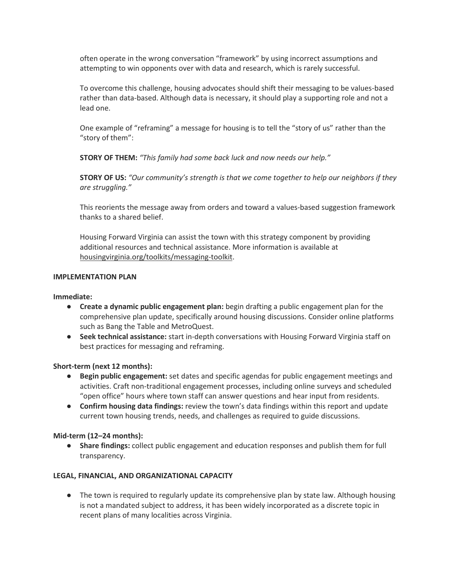often operate in the wrong conversation "framework" by using incorrect assumptions and attempting to win opponents over with data and research, which is rarely successful.

To overcome this challenge, housing advocates should shift their messaging to be values-based rather than data-based. Although data is necessary, it should play a supporting role and not a lead one.

One example of "reframing" a message for housing is to tell the "story of us" rather than the "story of them":

**STORY OF THEM:** *"This family had some back luck and now needs our help."*

**STORY OF US:** *"Our community's strength is that we come together to help our neighbors if they are struggling."*

This reorients the message away from orders and toward a values-based suggestion framework thanks to a shared belief.

Housing Forward Virginia can assist the town with this strategy component by providing additional resources and technical assistance. More information is available at housingvirginia.org/toolkits/messaging-toolkit.

## **IMPLEMENTATION PLAN**

## **Immediate:**

- **Create a dynamic public engagement plan:** begin drafting a public engagement plan for the comprehensive plan update, specifically around housing discussions. Consider online platforms such as Bang the Table and MetroQuest.
- **Seek technical assistance:** start in-depth conversations with Housing Forward Virginia staff on best practices for messaging and reframing.

## **Short-term (next 12 months):**

- **Begin public engagement:** set dates and specific agendas for public engagement meetings and activities. Craft non-traditional engagement processes, including online surveys and scheduled "open office" hours where town staff can answer questions and hear input from residents.
- **Confirm housing data findings:** review the town's data findings within this report and update current town housing trends, needs, and challenges as required to guide discussions.

## **Mid-term (12–24 months):**

● **Share findings:** collect public engagement and education responses and publish them for full transparency.

## **LEGAL, FINANCIAL, AND ORGANIZATIONAL CAPACITY**

● The town is required to regularly update its comprehensive plan by state law. Although housing is not a mandated subject to address, it has been widely incorporated as a discrete topic in recent plans of many localities across Virginia.